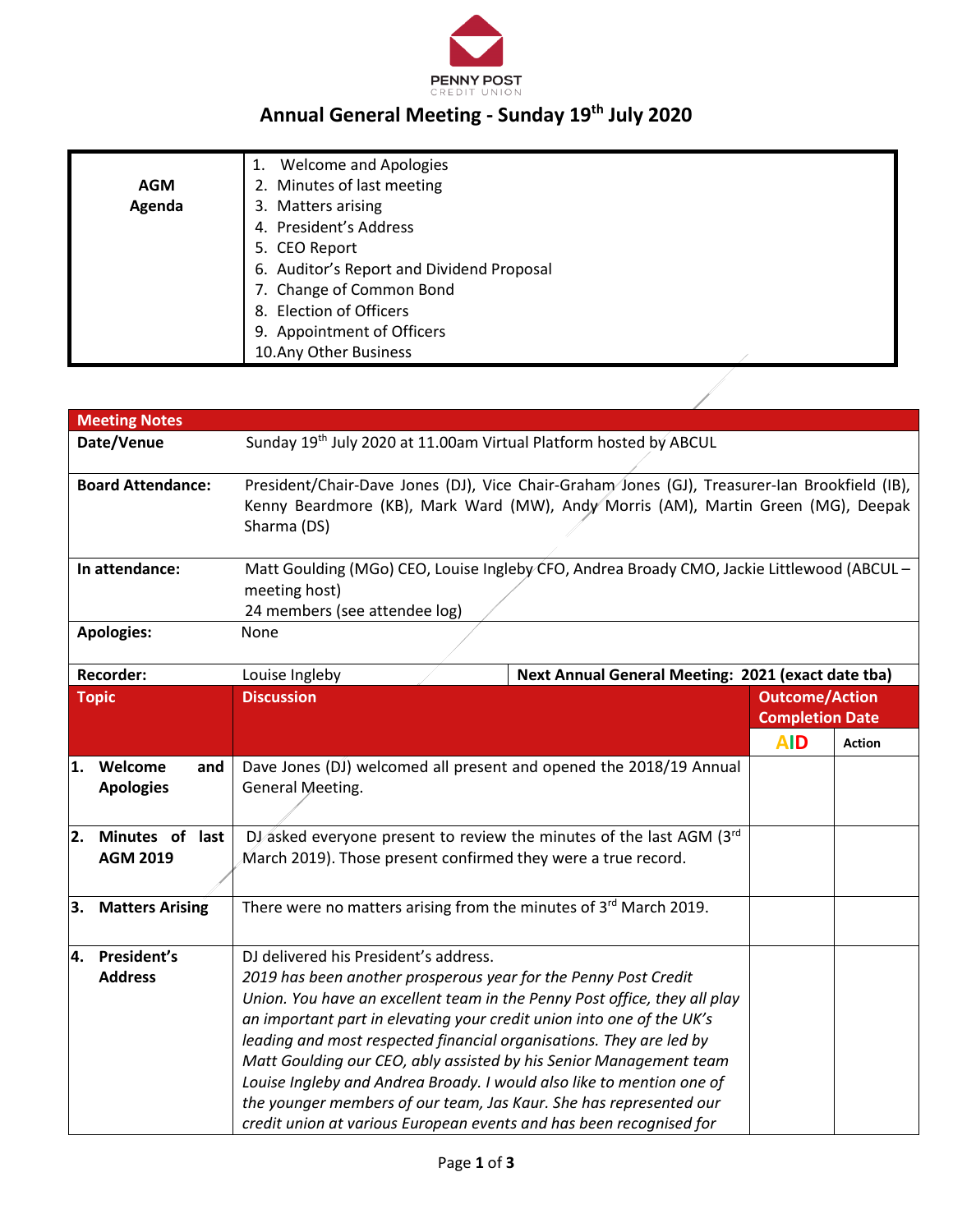

## **Annual General Meeting - Sunday 19th July 2020**

|            | <b>Welcome and Apologies</b>              |  |
|------------|-------------------------------------------|--|
| <b>AGM</b> | 2. Minutes of last meeting                |  |
| Agenda     | 3. Matters arising                        |  |
|            | 4. President's Address                    |  |
|            | 5. CEO Report                             |  |
|            | 6. Auditor's Report and Dividend Proposal |  |
|            | 7. Change of Common Bond                  |  |
|            | 8. Election of Officers                   |  |
|            | 9. Appointment of Officers                |  |
|            | 10. Any Other Business                    |  |

|                          | <b>Meeting Notes</b>               |                                                                                                                                                                                                                                                                                                                                                                                                                                                                                                                                                                                                                                   |  |                                                 |               |
|--------------------------|------------------------------------|-----------------------------------------------------------------------------------------------------------------------------------------------------------------------------------------------------------------------------------------------------------------------------------------------------------------------------------------------------------------------------------------------------------------------------------------------------------------------------------------------------------------------------------------------------------------------------------------------------------------------------------|--|-------------------------------------------------|---------------|
|                          | Date/Venue                         | Sunday 19th July 2020 at 11.00am Virtual Platform hosted by ABCUL                                                                                                                                                                                                                                                                                                                                                                                                                                                                                                                                                                 |  |                                                 |               |
| <b>Board Attendance:</b> |                                    | President/Chair-Dave Jones (DJ), Vice Chair-Graham Jones (GJ), Treasurer-lan Brookfield (IB),<br>Kenny Beardmore (KB), Mark Ward (MW), Andy Morris (AM), Martin Green (MG), Deepak<br>Sharma (DS)                                                                                                                                                                                                                                                                                                                                                                                                                                 |  |                                                 |               |
| In attendance:           |                                    | Matt Goulding (MGo) CEO, Louise Ingleby CFO, Andrea Broady CMO, Jackie Littlewood (ABCUL -<br>meeting host)<br>24 members (see attendee log)                                                                                                                                                                                                                                                                                                                                                                                                                                                                                      |  |                                                 |               |
|                          | <b>Apologies:</b>                  | None                                                                                                                                                                                                                                                                                                                                                                                                                                                                                                                                                                                                                              |  |                                                 |               |
|                          | <b>Recorder:</b>                   | Next Annual General Meeting: 2021 (exact date tba)<br>Louise Ingleby                                                                                                                                                                                                                                                                                                                                                                                                                                                                                                                                                              |  |                                                 |               |
|                          | <b>Topic</b>                       | <b>Discussion</b>                                                                                                                                                                                                                                                                                                                                                                                                                                                                                                                                                                                                                 |  | <b>Outcome/Action</b><br><b>Completion Date</b> |               |
|                          |                                    |                                                                                                                                                                                                                                                                                                                                                                                                                                                                                                                                                                                                                                   |  | <b>AID</b>                                      | <b>Action</b> |
| 1.                       | Welcome<br>and<br><b>Apologies</b> | Dave Jones (DJ) welcomed all present and opened the 2018/19 Annual<br>General Meeting.                                                                                                                                                                                                                                                                                                                                                                                                                                                                                                                                            |  |                                                 |               |
| 2.                       | Minutes of last<br><b>AGM 2019</b> | DJ asked everyone present to review the minutes of the last AGM (3rd<br>March 2019). Those present confirmed they were a true record.                                                                                                                                                                                                                                                                                                                                                                                                                                                                                             |  |                                                 |               |
| 3.                       | <b>Matters Arising</b>             | There were no matters arising from the minutes of 3rd March 2019.                                                                                                                                                                                                                                                                                                                                                                                                                                                                                                                                                                 |  |                                                 |               |
| 4.                       | President's<br><b>Address</b>      | DJ delivered his President's address.<br>2019 has been another prosperous year for the Penny Post Credit<br>Union. You have an excellent team in the Penny Post office, they all play<br>an important part in elevating your credit union into one of the UK's<br>leading and most respected financial organisations. They are led by<br>Matt Goulding our CEO, ably assisted by his Senior Management team<br>Louise Ingleby and Andrea Broady. I would also like to mention one of<br>the younger members of our team, Jas Kaur. She has represented our<br>credit union at various European events and has been recognised for |  |                                                 |               |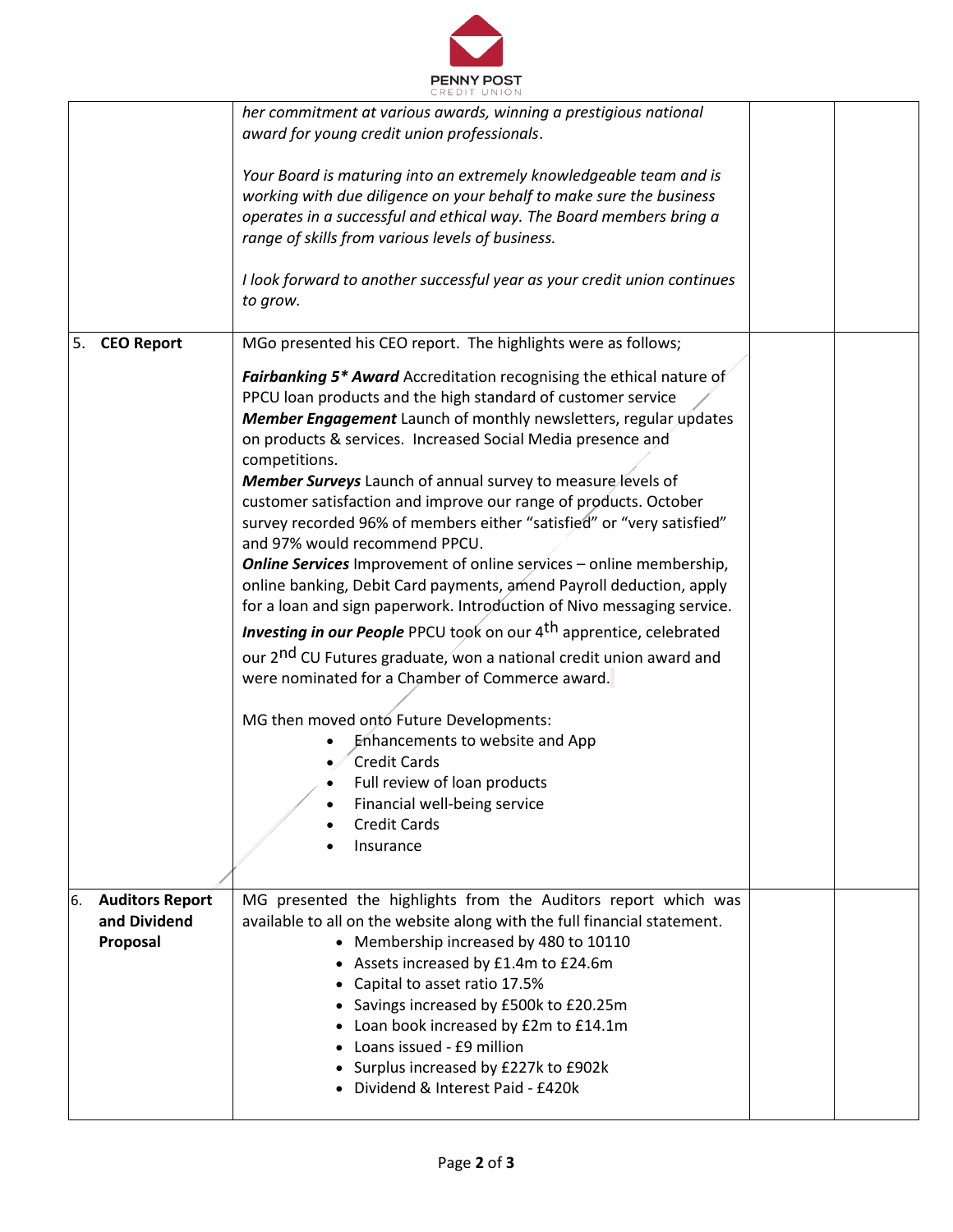

|                                                          | CREDII UNION                                                                                                                                                                                                                                                                                                                                                                                                                                                                                                                                                                                                                                                                                                                                                                                                                                                                                                                                                                                                                                                                                                                                                                                                              |  |
|----------------------------------------------------------|---------------------------------------------------------------------------------------------------------------------------------------------------------------------------------------------------------------------------------------------------------------------------------------------------------------------------------------------------------------------------------------------------------------------------------------------------------------------------------------------------------------------------------------------------------------------------------------------------------------------------------------------------------------------------------------------------------------------------------------------------------------------------------------------------------------------------------------------------------------------------------------------------------------------------------------------------------------------------------------------------------------------------------------------------------------------------------------------------------------------------------------------------------------------------------------------------------------------------|--|
|                                                          | her commitment at various awards, winning a prestigious national<br>award for young credit union professionals.                                                                                                                                                                                                                                                                                                                                                                                                                                                                                                                                                                                                                                                                                                                                                                                                                                                                                                                                                                                                                                                                                                           |  |
|                                                          | Your Board is maturing into an extremely knowledgeable team and is<br>working with due diligence on your behalf to make sure the business<br>operates in a successful and ethical way. The Board members bring a<br>range of skills from various levels of business.                                                                                                                                                                                                                                                                                                                                                                                                                                                                                                                                                                                                                                                                                                                                                                                                                                                                                                                                                      |  |
|                                                          | I look forward to another successful year as your credit union continues<br>to grow.                                                                                                                                                                                                                                                                                                                                                                                                                                                                                                                                                                                                                                                                                                                                                                                                                                                                                                                                                                                                                                                                                                                                      |  |
| 5.<br><b>CEO Report</b>                                  | MGo presented his CEO report. The highlights were as follows;                                                                                                                                                                                                                                                                                                                                                                                                                                                                                                                                                                                                                                                                                                                                                                                                                                                                                                                                                                                                                                                                                                                                                             |  |
|                                                          | Fairbanking 5* Award Accreditation recognising the ethical nature of<br>PPCU loan products and the high standard of customer service<br>Member Engagement Launch of monthly newsletters, regular updates<br>on products & services. Increased Social Media presence and<br>competitions.<br>Member Surveys Launch of annual survey to measure levels of<br>customer satisfaction and improve our range of products. October<br>survey recorded 96% of members either "satisfied" or "very satisfied"<br>and 97% would recommend PPCU.<br><b>Online Services</b> Improvement of online services - online membership,<br>online banking, Debit Card payments, amend Payroll deduction, apply<br>for a loan and sign paperwork. Introduction of Nivo messaging service.<br><b>Investing in our People</b> PPCU took on our 4 <sup>th</sup> apprentice, celebrated<br>our 2 <sup>nd</sup> CU Futures graduate, won a national credit union award and<br>were nominated for a Chamber of Commerce award.<br>MG then moved onto Future Developments:<br>Enhancements to website and App<br><b>Credit Cards</b><br>Full review of loan products<br>Financial well-being service<br>$\bullet$<br><b>Credit Cards</b><br>Insurance |  |
|                                                          |                                                                                                                                                                                                                                                                                                                                                                                                                                                                                                                                                                                                                                                                                                                                                                                                                                                                                                                                                                                                                                                                                                                                                                                                                           |  |
| 6.<br><b>Auditors Report</b><br>and Dividend<br>Proposal | MG presented the highlights from the Auditors report which was<br>available to all on the website along with the full financial statement.<br>• Membership increased by 480 to 10110<br>• Assets increased by £1.4m to £24.6m<br>• Capital to asset ratio 17.5%<br>• Savings increased by £500k to £20.25m<br>• Loan book increased by £2m to £14.1m<br>Loans issued - £9 million<br>Surplus increased by £227k to £902k<br>• Dividend & Interest Paid - £420k                                                                                                                                                                                                                                                                                                                                                                                                                                                                                                                                                                                                                                                                                                                                                            |  |
|                                                          |                                                                                                                                                                                                                                                                                                                                                                                                                                                                                                                                                                                                                                                                                                                                                                                                                                                                                                                                                                                                                                                                                                                                                                                                                           |  |